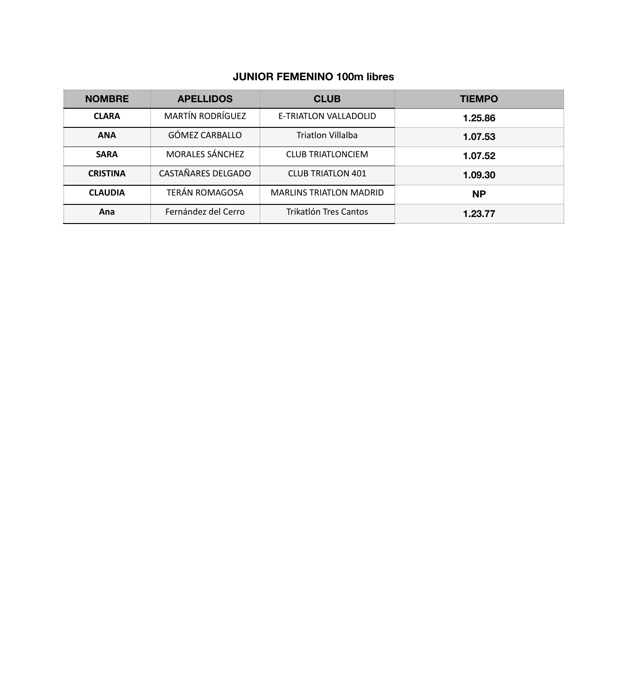# **JUNIOR FEMENINO 100m libres**

| <b>NOMBRE</b>   | <b>APELLIDOS</b>        | <b>CLUB</b>                    | <b>TIEMPO</b> |
|-----------------|-------------------------|--------------------------------|---------------|
| <b>CLARA</b>    | <b>MARTÍN RODRÍGUEZ</b> | E-TRIATLON VALLADOLID          | 1.25.86       |
| <b>ANA</b>      | GÓMEZ CARBALLO          | <b>Triatlon Villalba</b>       | 1.07.53       |
| <b>SARA</b>     | <b>MORALES SÁNCHEZ</b>  | <b>CLUB TRIATLONCIEM</b>       | 1.07.52       |
| <b>CRISTINA</b> | CASTAÑARES DELGADO      | <b>CLUB TRIATLON 401</b>       | 1.09.30       |
| <b>CLAUDIA</b>  | TERÁN ROMAGOSA          | <b>MARLINS TRIATLON MADRID</b> | <b>NP</b>     |
| Ana             | Fernández del Cerro     | Trikatlón Tres Cantos          | 1.23.77       |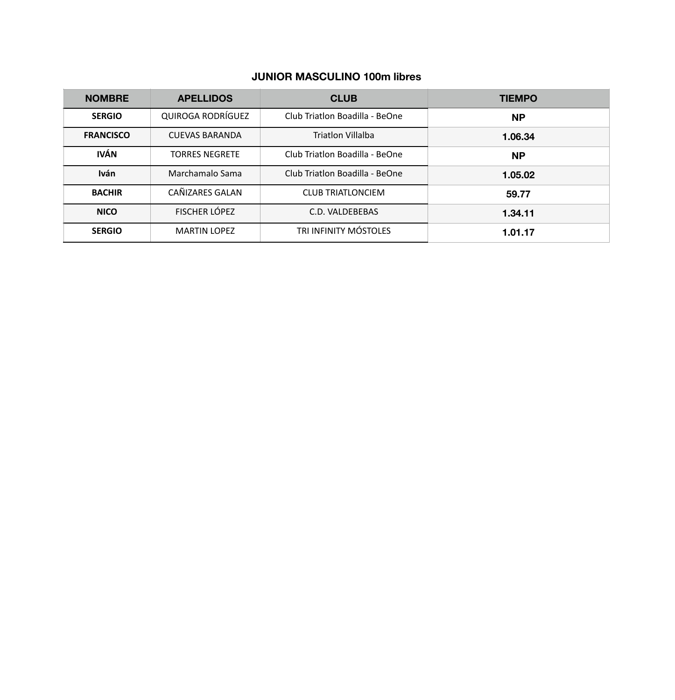# **JUNIOR MASCULINO 100m libres**

| <b>NOMBRE</b>    | <b>APELLIDOS</b>      | <b>CLUB</b>                    | <b>TIEMPO</b> |
|------------------|-----------------------|--------------------------------|---------------|
| <b>SERGIO</b>    | QUIROGA RODRÍGUEZ     | Club Triatlon Boadilla - BeOne | <b>NP</b>     |
| <b>FRANCISCO</b> | <b>CUEVAS BARANDA</b> | <b>Triatlon Villalba</b>       | 1.06.34       |
| <b>IVÁN</b>      | <b>TORRES NEGRETE</b> | Club Triatlon Boadilla - BeOne | <b>NP</b>     |
| <b>Iván</b>      | Marchamalo Sama       | Club Triatlon Boadilla - BeOne | 1.05.02       |
| <b>BACHIR</b>    | CAÑIZARES GALAN       | <b>CLUB TRIATLONCIEM</b>       | 59.77         |
| <b>NICO</b>      | FISCHER LÓPEZ         | C.D. VALDEBEBAS                | 1.34.11       |
| <b>SERGIO</b>    | <b>MARTIN LOPEZ</b>   | TRI INFINITY MÓSTOLES          | 1.01.17       |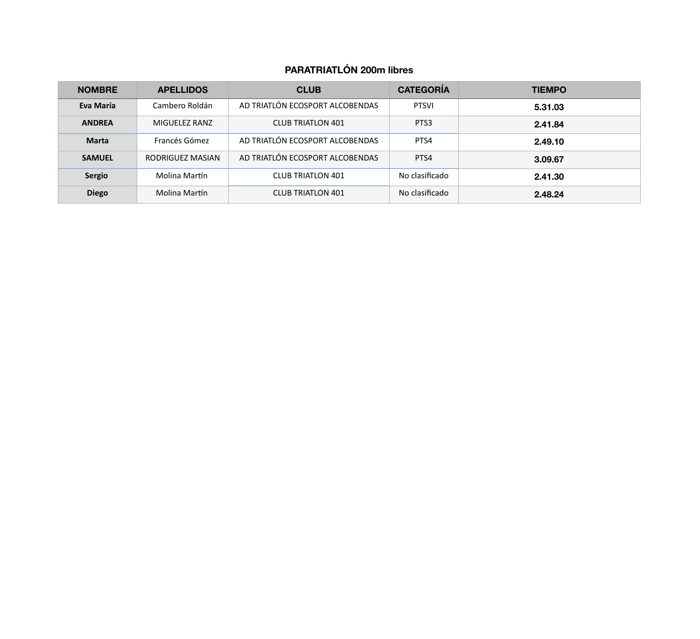# **PARATRIATLÓN 200m libres**

| <b>NOMBRE</b> | <b>APELLIDOS</b> | <b>CLUB</b>                     | <b>CATEGORÍA</b> | <b>TIEMPO</b> |
|---------------|------------------|---------------------------------|------------------|---------------|
| Eva María     | Cambero Roldán   | AD TRIATLÓN ECOSPORT ALCOBENDAS | <b>PTSVI</b>     | 5.31.03       |
| <b>ANDREA</b> | MIGUELEZ RANZ    | <b>CLUB TRIATLON 401</b>        | PTS3             | 2.41.84       |
| <b>Marta</b>  | Francés Gómez    | AD TRIATLÓN ECOSPORT ALCOBENDAS | PTS4             | 2.49.10       |
| <b>SAMUEL</b> | RODRIGUEZ MASIAN | AD TRIATLÓN ECOSPORT ALCOBENDAS | PTS4             | 3.09.67       |
| <b>Sergio</b> | Molina Martín    | <b>CLUB TRIATLON 401</b>        | No clasificado   | 2.41.30       |
| <b>Diego</b>  | Molina Martín    | <b>CLUB TRIATLON 401</b>        | No clasificado   | 2.48.24       |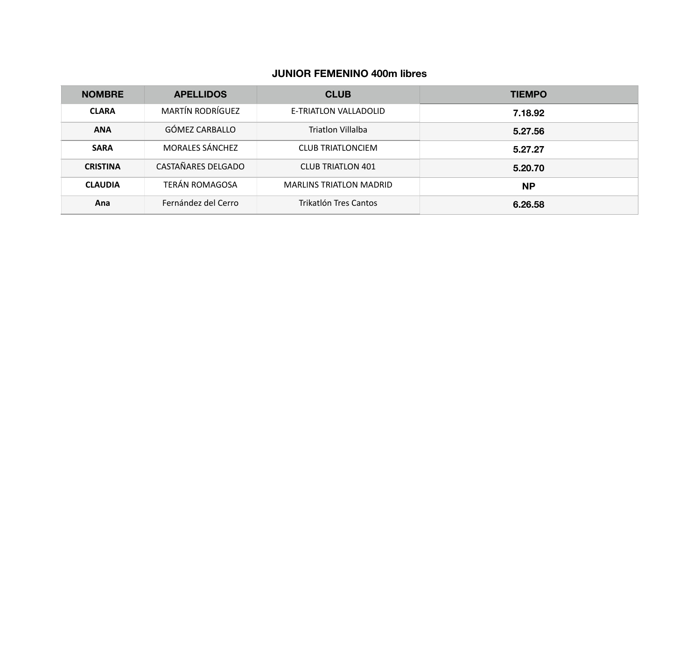# **JUNIOR FEMENINO 400m libres**

| <b>NOMBRE</b>   | <b>APELLIDOS</b>        | <b>CLUB</b>                    | <b>TIEMPO</b> |
|-----------------|-------------------------|--------------------------------|---------------|
| <b>CLARA</b>    | <b>MARTÍN RODRÍGUEZ</b> | E-TRIATLON VALLADOLID          | 7.18.92       |
| <b>ANA</b>      | GÓMEZ CARBALLO          | Triatlon Villalba              | 5.27.56       |
| <b>SARA</b>     | <b>MORALES SÁNCHEZ</b>  | <b>CLUB TRIATLONCIEM</b>       | 5.27.27       |
| <b>CRISTINA</b> | CASTAÑARES DELGADO      | <b>CLUB TRIATLON 401</b>       | 5.20.70       |
| <b>CLAUDIA</b>  | <b>TERÁN ROMAGOSA</b>   | <b>MARLINS TRIATLON MADRID</b> | <b>NP</b>     |
| Ana             | Fernández del Cerro     | Trikatlón Tres Cantos          | 6.26.58       |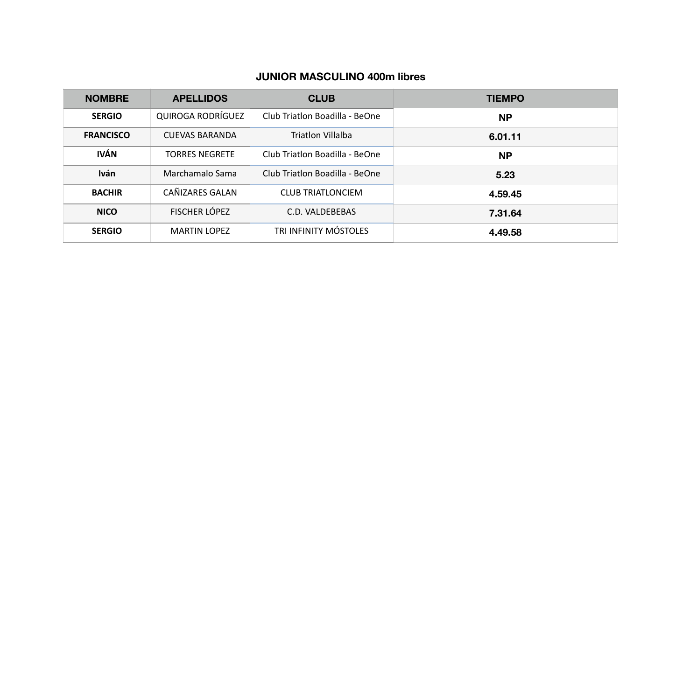# **JUNIOR MASCULINO 400m libres**

| <b>NOMBRE</b>    | <b>APELLIDOS</b>      | <b>CLUB</b>                    | <b>TIEMPO</b> |
|------------------|-----------------------|--------------------------------|---------------|
| <b>SERGIO</b>    | QUIROGA RODRÍGUEZ     | Club Triatlon Boadilla - BeOne | <b>NP</b>     |
| <b>FRANCISCO</b> | <b>CUEVAS BARANDA</b> | Triatlon Villalba              | 6.01.11       |
| <b>IVÁN</b>      | <b>TORRES NEGRETE</b> | Club Triatlon Boadilla - BeOne | <b>NP</b>     |
| <b>Iván</b>      | Marchamalo Sama       | Club Triatlon Boadilla - BeOne | 5.23          |
| <b>BACHIR</b>    | CAÑIZARES GALAN       | <b>CLUB TRIATLONCIEM</b>       | 4.59.45       |
| <b>NICO</b>      | <b>FISCHER LÓPEZ</b>  | C.D. VALDEBEBAS                | 7.31.64       |
| <b>SERGIO</b>    | <b>MARTIN LOPEZ</b>   | TRI INFINITY MÓSTOLES          | 4.49.58       |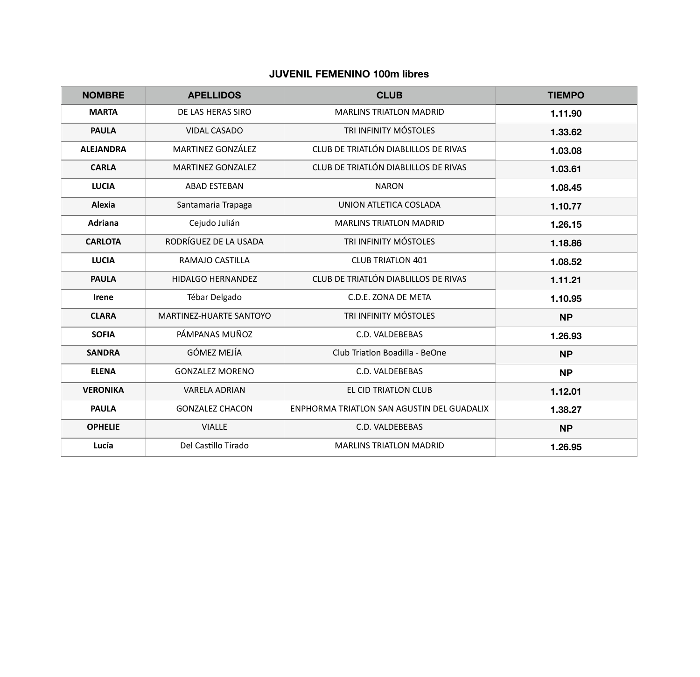# **JUVENIL FEMENINO 100m libres**

| <b>NOMBRE</b>    | <b>APELLIDOS</b>         | <b>CLUB</b>                                | <b>TIEMPO</b> |
|------------------|--------------------------|--------------------------------------------|---------------|
| <b>MARTA</b>     | DE LAS HERAS SIRO        | <b>MARLINS TRIATLON MADRID</b>             | 1.11.90       |
| <b>PAULA</b>     | <b>VIDAL CASADO</b>      | TRI INFINITY MÓSTOLES                      | 1.33.62       |
| <b>ALEJANDRA</b> | MARTINEZ GONZÁLEZ        | CLUB DE TRIATLÓN DIABLILLOS DE RIVAS       | 1.03.08       |
| <b>CARLA</b>     | <b>MARTINEZ GONZALEZ</b> | CLUB DE TRIATLÓN DIABLILLOS DE RIVAS       | 1.03.61       |
| <b>LUCIA</b>     | <b>ABAD ESTEBAN</b>      | <b>NARON</b>                               | 1.08.45       |
| Alexia           | Santamaria Trapaga       | UNION ATLETICA COSLADA                     | 1.10.77       |
| <b>Adriana</b>   | Cejudo Julián            | <b>MARLINS TRIATLON MADRID</b>             | 1.26.15       |
| <b>CARLOTA</b>   | RODRÍGUEZ DE LA USADA    | TRI INFINITY MÓSTOLES                      | 1.18.86       |
| <b>LUCIA</b>     | RAMAJO CASTILLA          | <b>CLUB TRIATLON 401</b>                   | 1.08.52       |
| <b>PAULA</b>     | <b>HIDALGO HERNANDEZ</b> | CLUB DE TRIATLÓN DIABLILLOS DE RIVAS       | 1.11.21       |
| <b>Irene</b>     | Tébar Delgado            | C.D.E. ZONA DE META                        | 1.10.95       |
| <b>CLARA</b>     | MARTINEZ-HUARTE SANTOYO  | TRI INFINITY MÓSTOLES                      | <b>NP</b>     |
| <b>SOFIA</b>     | PÁMPANAS MUÑOZ           | C.D. VALDEBEBAS                            | 1.26.93       |
| <b>SANDRA</b>    | <b>GÓMEZ MEJÍA</b>       | Club Triatlon Boadilla - BeOne             | <b>NP</b>     |
| <b>ELENA</b>     | <b>GONZALEZ MORENO</b>   | C.D. VALDEBEBAS                            | <b>NP</b>     |
| <b>VERONIKA</b>  | <b>VARELA ADRIAN</b>     | EL CID TRIATLON CLUB                       | 1.12.01       |
| <b>PAULA</b>     | <b>GONZALEZ CHACON</b>   | ENPHORMA TRIATLON SAN AGUSTIN DEL GUADALIX | 1.38.27       |
| <b>OPHELIE</b>   | <b>VIALLE</b>            | C.D. VALDEBEBAS                            | <b>NP</b>     |
| Lucía            | Del Castillo Tirado      | <b>MARLINS TRIATLON MADRID</b>             | 1.26.95       |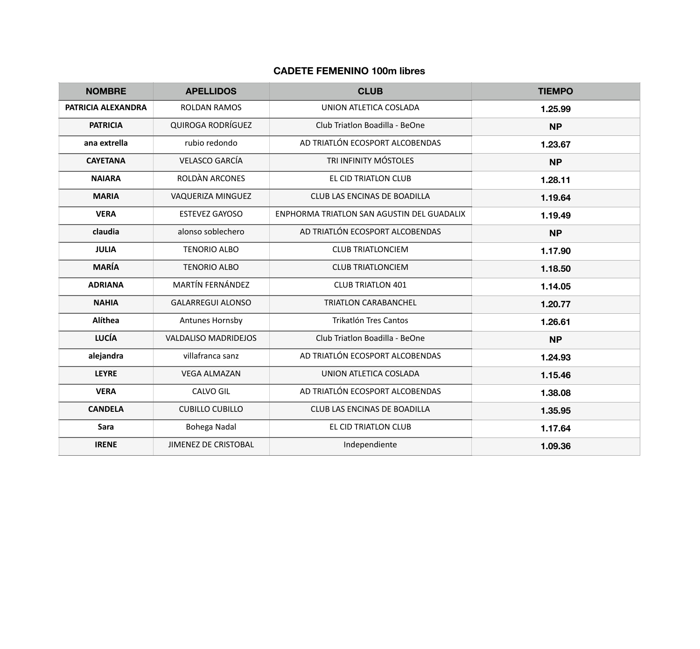# **CADETE FEMENINO 100m libres**

| <b>NOMBRE</b>      | <b>APELLIDOS</b>            | <b>CLUB</b>                                | <b>TIEMPO</b> |
|--------------------|-----------------------------|--------------------------------------------|---------------|
| PATRICIA ALEXANDRA | <b>ROLDAN RAMOS</b>         | UNION ATLETICA COSLADA                     | 1.25.99       |
| <b>PATRICIA</b>    | QUIROGA RODRÍGUEZ           | Club Triatlon Boadilla - BeOne             | <b>NP</b>     |
| ana extrella       | rubio redondo               | AD TRIATLÓN ECOSPORT ALCOBENDAS            | 1.23.67       |
| <b>CAYETANA</b>    | <b>VELASCO GARCÍA</b>       | TRI INFINITY MÓSTOLES                      | <b>NP</b>     |
| <b>NAIARA</b>      | ROLDÀN ARCONES              | EL CID TRIATLON CLUB                       | 1.28.11       |
| <b>MARIA</b>       | VAQUERIZA MINGUEZ           | CLUB LAS ENCINAS DE BOADILLA               | 1.19.64       |
| <b>VERA</b>        | <b>ESTEVEZ GAYOSO</b>       | ENPHORMA TRIATLON SAN AGUSTIN DEL GUADALIX | 1.19.49       |
| claudia            | alonso soblechero           | AD TRIATLÓN ECOSPORT ALCOBENDAS            | <b>NP</b>     |
| <b>JULIA</b>       | <b>TENORIO ALBO</b>         | <b>CLUB TRIATLONCIEM</b>                   | 1.17.90       |
| <b>MARÍA</b>       | <b>TENORIO ALBO</b>         | <b>CLUB TRIATLONCIEM</b>                   | 1.18.50       |
| <b>ADRIANA</b>     | MARTÍN FERNÁNDEZ            | <b>CLUB TRIATLON 401</b>                   | 1.14.05       |
| <b>NAHIA</b>       | <b>GALARREGUI ALONSO</b>    | <b>TRIATLON CARABANCHEL</b>                | 1.20.77       |
| Alíthea            | Antunes Hornsby             | Trikatlón Tres Cantos                      | 1.26.61       |
| <b>LUCÍA</b>       | <b>VALDALISO MADRIDEJOS</b> | Club Triatlon Boadilla - BeOne             | <b>NP</b>     |
| alejandra          | villafranca sanz            | AD TRIATLÓN ECOSPORT ALCOBENDAS            | 1.24.93       |
| <b>LEYRE</b>       | <b>VEGA ALMAZAN</b>         | UNION ATLETICA COSLADA                     | 1.15.46       |
| <b>VERA</b>        | <b>CALVO GIL</b>            | AD TRIATLÓN ECOSPORT ALCOBENDAS            | 1.38.08       |
| <b>CANDELA</b>     | <b>CUBILLO CUBILLO</b>      | CLUB LAS ENCINAS DE BOADILLA               | 1.35.95       |
| Sara               | <b>Bohega Nadal</b>         | EL CID TRIATLON CLUB                       | 1.17.64       |
| <b>IRENE</b>       | <b>JIMENEZ DE CRISTOBAL</b> | Independiente                              | 1.09.36       |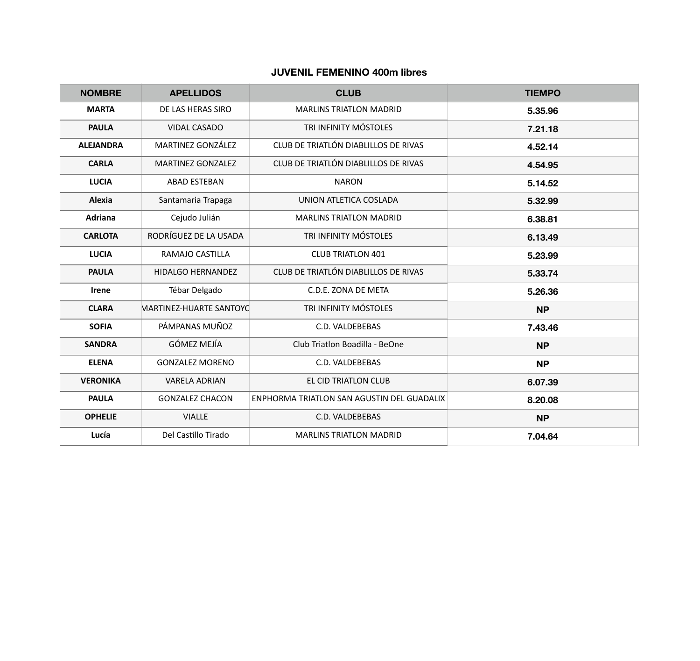# **JUVENIL FEMENINO 400m libres**

| <b>NOMBRE</b>    | <b>APELLIDOS</b>         | <b>CLUB</b>                                | <b>TIEMPO</b> |
|------------------|--------------------------|--------------------------------------------|---------------|
| <b>MARTA</b>     | DE LAS HERAS SIRO        | <b>MARLINS TRIATLON MADRID</b>             | 5.35.96       |
| <b>PAULA</b>     | <b>VIDAL CASADO</b>      | TRI INFINITY MÓSTOLES                      | 7.21.18       |
| <b>ALEJANDRA</b> | MARTINEZ GONZÁLEZ        | CLUB DE TRIATLÓN DIABLILLOS DE RIVAS       | 4.52.14       |
| <b>CARLA</b>     | <b>MARTINEZ GONZALEZ</b> | CLUB DE TRIATLÓN DIABLILLOS DE RIVAS       | 4.54.95       |
| <b>LUCIA</b>     | <b>ABAD ESTEBAN</b>      | <b>NARON</b>                               | 5.14.52       |
| Alexia           | Santamaria Trapaga       | UNION ATLETICA COSLADA                     | 5.32.99       |
| <b>Adriana</b>   | Cejudo Julián            | <b>MARLINS TRIATLON MADRID</b>             | 6.38.81       |
| <b>CARLOTA</b>   | RODRÍGUEZ DE LA USADA    | TRI INFINITY MÓSTOLES                      | 6.13.49       |
| <b>LUCIA</b>     | RAMAJO CASTILLA          | <b>CLUB TRIATLON 401</b>                   | 5.23.99       |
| <b>PAULA</b>     | HIDALGO HERNANDEZ        | CLUB DE TRIATLÓN DIABLILLOS DE RIVAS       | 5.33.74       |
| Irene            | Tébar Delgado            | C.D.E. ZONA DE META                        | 5.26.36       |
| <b>CLARA</b>     | MARTINEZ-HUARTE SANTOYO  | TRI INFINITY MÓSTOLES                      | <b>NP</b>     |
| <b>SOFIA</b>     | PÁMPANAS MUÑOZ           | C.D. VALDEBEBAS                            | 7.43.46       |
| <b>SANDRA</b>    | <b>GÓMEZ MEJÍA</b>       | Club Triatlon Boadilla - BeOne             | <b>NP</b>     |
| <b>ELENA</b>     | <b>GONZALEZ MORENO</b>   | C.D. VALDEBEBAS                            | <b>NP</b>     |
| <b>VERONIKA</b>  | <b>VARELA ADRIAN</b>     | EL CID TRIATLON CLUB                       | 6.07.39       |
| <b>PAULA</b>     | <b>GONZALEZ CHACON</b>   | ENPHORMA TRIATLON SAN AGUSTIN DEL GUADALIX | 8.20.08       |
| <b>OPHELIE</b>   | <b>VIALLE</b>            | C.D. VALDEBEBAS                            | <b>NP</b>     |
| Lucía            | Del Castillo Tirado      | <b>MARLINS TRIATLON MADRID</b>             | 7.04.64       |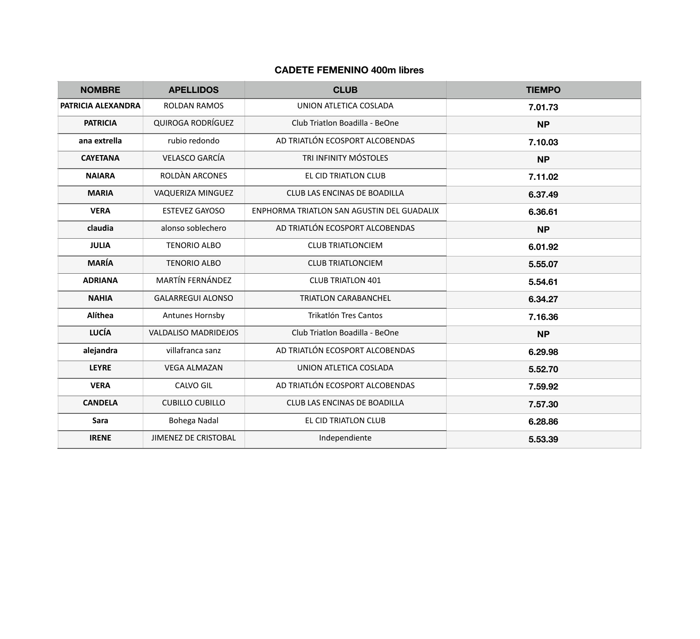# **CADETE FEMENINO 400m libres**

| <b>NOMBRE</b>      | <b>APELLIDOS</b>            | <b>CLUB</b>                                | <b>TIEMPO</b> |
|--------------------|-----------------------------|--------------------------------------------|---------------|
| PATRICIA ALEXANDRA | <b>ROLDAN RAMOS</b>         | UNION ATLETICA COSLADA                     | 7.01.73       |
| <b>PATRICIA</b>    | <b>QUIROGA RODRÍGUEZ</b>    | Club Triatlon Boadilla - BeOne             | <b>NP</b>     |
| ana extrella       | rubio redondo               | AD TRIATLÓN ECOSPORT ALCOBENDAS            | 7.10.03       |
| <b>CAYETANA</b>    | <b>VELASCO GARCÍA</b>       | TRI INFINITY MÓSTOLES                      | <b>NP</b>     |
| <b>NAIARA</b>      | ROLDÀN ARCONES              | EL CID TRIATLON CLUB                       | 7.11.02       |
| <b>MARIA</b>       | VAQUERIZA MINGUEZ           | CLUB LAS ENCINAS DE BOADILLA               | 6.37.49       |
| <b>VERA</b>        | <b>ESTEVEZ GAYOSO</b>       | ENPHORMA TRIATLON SAN AGUSTIN DEL GUADALIX | 6.36.61       |
| claudia            | alonso soblechero           | AD TRIATLÓN ECOSPORT ALCOBENDAS            | <b>NP</b>     |
| <b>JULIA</b>       | <b>TENORIO ALBO</b>         | <b>CLUB TRIATLONCIEM</b>                   | 6.01.92       |
| <b>MARÍA</b>       | <b>TENORIO ALBO</b>         | <b>CLUB TRIATLONCIEM</b>                   | 5.55.07       |
| <b>ADRIANA</b>     | MARTÍN FERNÁNDEZ            | <b>CLUB TRIATLON 401</b>                   | 5.54.61       |
| <b>NAHIA</b>       | <b>GALARREGUI ALONSO</b>    | <b>TRIATLON CARABANCHEL</b>                | 6.34.27       |
| Alíthea            | Antunes Hornsby             | Trikatlón Tres Cantos                      | 7.16.36       |
| <b>LUCÍA</b>       | <b>VALDALISO MADRIDEJOS</b> | Club Triatlon Boadilla - BeOne             | <b>NP</b>     |
| alejandra          | villafranca sanz            | AD TRIATLÓN ECOSPORT ALCOBENDAS            | 6.29.98       |
| <b>LEYRE</b>       | <b>VEGA ALMAZAN</b>         | UNION ATLETICA COSLADA                     | 5.52.70       |
| <b>VERA</b>        | <b>CALVO GIL</b>            | AD TRIATLÓN ECOSPORT ALCOBENDAS            | 7.59.92       |
| <b>CANDELA</b>     | <b>CUBILLO CUBILLO</b>      | CLUB LAS ENCINAS DE BOADILLA               | 7.57.30       |
| Sara               | Bohega Nadal                | EL CID TRIATLON CLUB                       | 6.28.86       |
| <b>IRENE</b>       | <b>JIMENEZ DE CRISTOBAL</b> | Independiente                              | 5.53.39       |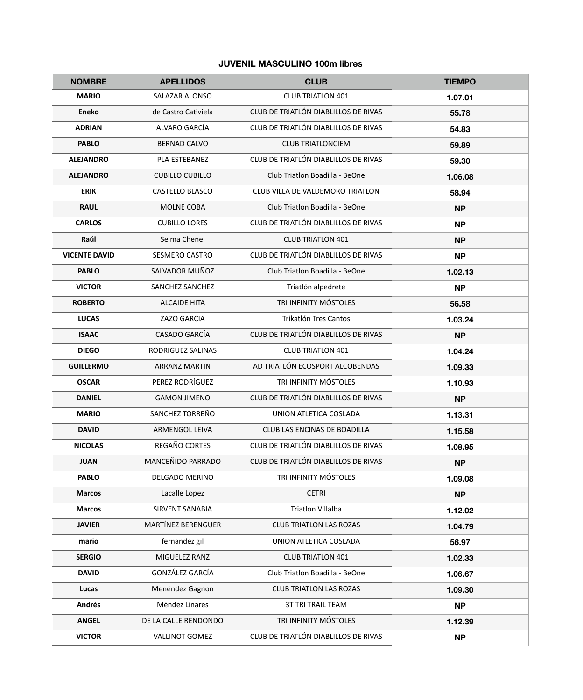#### **JUVENIL MASCULINO 100m libres**

| <b>NOMBRE</b>        | <b>APELLIDOS</b>          | <b>CLUB</b>                          | <b>TIEMPO</b> |
|----------------------|---------------------------|--------------------------------------|---------------|
| <b>MARIO</b>         | <b>SALAZAR ALONSO</b>     | <b>CLUB TRIATLON 401</b>             | 1.07.01       |
| <b>Eneko</b>         | de Castro Cativiela       | CLUB DE TRIATLÓN DIABLILLOS DE RIVAS | 55.78         |
| <b>ADRIAN</b>        | ALVARO GARCÍA             | CLUB DE TRIATLÓN DIABLILLOS DE RIVAS | 54.83         |
| <b>PABLO</b>         | <b>BERNAD CALVO</b>       | <b>CLUB TRIATLONCIEM</b>             | 59.89         |
| <b>ALEJANDRO</b>     | PLA ESTEBANEZ             | CLUB DE TRIATLÓN DIABLILLOS DE RIVAS | 59.30         |
| <b>ALEJANDRO</b>     | <b>CUBILLO CUBILLO</b>    | Club Triatlon Boadilla - BeOne       | 1.06.08       |
| <b>ERIK</b>          | CASTELLO BLASCO           | CLUB VILLA DE VALDEMORO TRIATLON     | 58.94         |
| <b>RAUL</b>          | MOLNE COBA                | Club Triatlon Boadilla - BeOne       | <b>NP</b>     |
| <b>CARLOS</b>        | <b>CUBILLO LORES</b>      | CLUB DE TRIATLÓN DIABLILLOS DE RIVAS | <b>NP</b>     |
| Raúl                 | Selma Chenel              | <b>CLUB TRIATLON 401</b>             | <b>NP</b>     |
| <b>VICENTE DAVID</b> | SESMERO CASTRO            | CLUB DE TRIATLÓN DIABLILLOS DE RIVAS | <b>NP</b>     |
| <b>PABLO</b>         | SALVADOR MUÑOZ            | Club Triatlon Boadilla - BeOne       | 1.02.13       |
| <b>VICTOR</b>        | SANCHEZ SANCHEZ           | Triatlón alpedrete                   | <b>NP</b>     |
| <b>ROBERTO</b>       | <b>ALCAIDE HITA</b>       | TRI INFINITY MÓSTOLES                | 56.58         |
| <b>LUCAS</b>         | <b>ZAZO GARCIA</b>        | Trikatlón Tres Cantos                | 1.03.24       |
| <b>ISAAC</b>         | <b>CASADO GARCÍA</b>      | CLUB DE TRIATLÓN DIABLILLOS DE RIVAS | <b>NP</b>     |
| <b>DIEGO</b>         | RODRIGUEZ SALINAS         | <b>CLUB TRIATLON 401</b>             | 1.04.24       |
| <b>GUILLERMO</b>     | <b>ARRANZ MARTIN</b>      | AD TRIATLÓN ECOSPORT ALCOBENDAS      | 1.09.33       |
| <b>OSCAR</b>         | PEREZ RODRÍGUEZ           | TRI INFINITY MÓSTOLES                | 1.10.93       |
| <b>DANIEL</b>        | <b>GAMON JIMENO</b>       | CLUB DE TRIATLÓN DIABLILLOS DE RIVAS | <b>NP</b>     |
| <b>MARIO</b>         | SANCHEZ TORREÑO           | UNION ATLETICA COSLADA               | 1.13.31       |
| <b>DAVID</b>         | <b>ARMENGOL LEIVA</b>     | CLUB LAS ENCINAS DE BOADILLA         | 1.15.58       |
| <b>NICOLAS</b>       | REGAÑO CORTES             | CLUB DE TRIATLÓN DIABLILLOS DE RIVAS | 1.08.95       |
| <b>JUAN</b>          | MANCEÑIDO PARRADO         | CLUB DE TRIATLÓN DIABLILLOS DE RIVAS | <b>NP</b>     |
| <b>PABLO</b>         | <b>DELGADO MERINO</b>     | TRI INFINITY MÓSTOLES                | 1.09.08       |
| <b>Marcos</b>        | Lacalle Lopez             | <b>CETRI</b>                         | <b>NP</b>     |
| <b>Marcos</b>        | <b>SIRVENT SANABIA</b>    | <b>Triatlon Villalba</b>             | 1.12.02       |
| <b>JAVIER</b>        | <b>MARTÍNEZ BERENGUER</b> | <b>CLUB TRIATLON LAS ROZAS</b>       | 1.04.79       |
| mario                | fernandez gil             | UNION ATLETICA COSLADA               | 56.97         |
| <b>SERGIO</b>        | MIGUELEZ RANZ             | <b>CLUB TRIATLON 401</b>             | 1.02.33       |
| <b>DAVID</b>         | GONZÁLEZ GARCÍA           | Club Triatlon Boadilla - BeOne       | 1.06.67       |
| Lucas                | Menéndez Gagnon           | <b>CLUB TRIATLON LAS ROZAS</b>       | 1.09.30       |
| Andrés               | Méndez Linares            | <b>3T TRI TRAIL TEAM</b>             | <b>NP</b>     |
| <b>ANGEL</b>         | DE LA CALLE RENDONDO      | TRI INFINITY MÓSTOLES                | 1.12.39       |
| <b>VICTOR</b>        | <b>VALLINOT GOMEZ</b>     | CLUB DE TRIATLÓN DIABLILLOS DE RIVAS | <b>NP</b>     |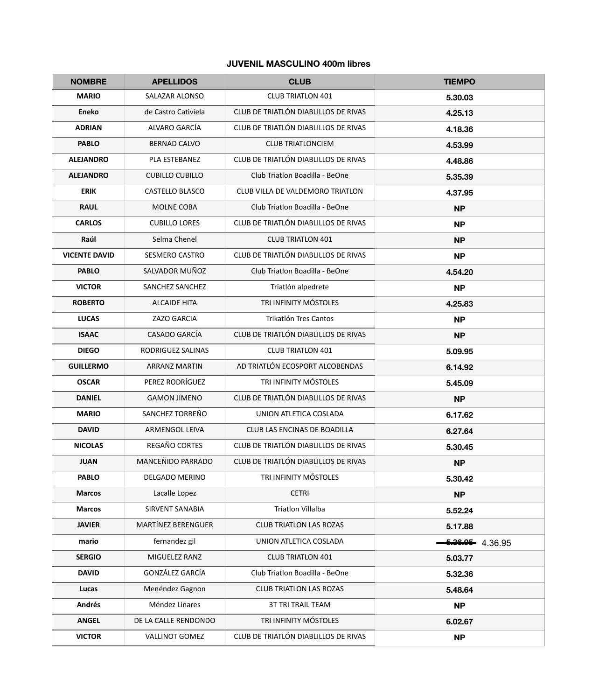#### **JUVENIL MASCULINO 400m libres**

| <b>NOMBRE</b>        | <b>APELLIDOS</b>          | <b>CLUB</b>                          | <b>TIEMPO</b>   |
|----------------------|---------------------------|--------------------------------------|-----------------|
| <b>MARIO</b>         | SALAZAR ALONSO            | <b>CLUB TRIATLON 401</b>             | 5.30.03         |
| <b>Eneko</b>         | de Castro Cativiela       | CLUB DE TRIATLÓN DIABLILLOS DE RIVAS | 4.25.13         |
| <b>ADRIAN</b>        | ALVARO GARCÍA             | CLUB DE TRIATLÓN DIABLILLOS DE RIVAS | 4.18.36         |
| <b>PABLO</b>         | <b>BERNAD CALVO</b>       | <b>CLUB TRIATLONCIEM</b>             | 4.53.99         |
| <b>ALEJANDRO</b>     | PLA ESTEBANEZ             | CLUB DE TRIATLÓN DIABLILLOS DE RIVAS | 4.48.86         |
| <b>ALEJANDRO</b>     | <b>CUBILLO CUBILLO</b>    | Club Triatlon Boadilla - BeOne       | 5.35.39         |
| <b>ERIK</b>          | <b>CASTELLO BLASCO</b>    | CLUB VILLA DE VALDEMORO TRIATLON     | 4.37.95         |
| <b>RAUL</b>          | MOLNE COBA                | Club Triatlon Boadilla - BeOne       | <b>NP</b>       |
| <b>CARLOS</b>        | <b>CUBILLO LORES</b>      | CLUB DE TRIATLÓN DIABLILLOS DE RIVAS | <b>NP</b>       |
| Raúl                 | Selma Chenel              | <b>CLUB TRIATLON 401</b>             | <b>NP</b>       |
| <b>VICENTE DAVID</b> | SESMERO CASTRO            | CLUB DE TRIATLÓN DIABLILLOS DE RIVAS | <b>NP</b>       |
| <b>PABLO</b>         | SALVADOR MUÑOZ            | Club Triatlon Boadilla - BeOne       | 4.54.20         |
| <b>VICTOR</b>        | SANCHEZ SANCHEZ           | Triatlón alpedrete                   | <b>NP</b>       |
| <b>ROBERTO</b>       | <b>ALCAIDE HITA</b>       | TRI INFINITY MÓSTOLES                | 4.25.83         |
| <b>LUCAS</b>         | ZAZO GARCIA               | Trikatlón Tres Cantos                | <b>NP</b>       |
| <b>ISAAC</b>         | <b>CASADO GARCÍA</b>      | CLUB DE TRIATLÓN DIABLILLOS DE RIVAS | <b>NP</b>       |
| <b>DIEGO</b>         | RODRIGUEZ SALINAS         | <b>CLUB TRIATLON 401</b>             | 5.09.95         |
| <b>GUILLERMO</b>     | <b>ARRANZ MARTIN</b>      | AD TRIATLÓN ECOSPORT ALCOBENDAS      | 6.14.92         |
| <b>OSCAR</b>         | PEREZ RODRÍGUEZ           | TRI INFINITY MÓSTOLES                | 5.45.09         |
| <b>DANIEL</b>        | <b>GAMON JIMENO</b>       | CLUB DE TRIATLÓN DIABLILLOS DE RIVAS | <b>NP</b>       |
| <b>MARIO</b>         | SANCHEZ TORREÑO           | UNION ATLETICA COSLADA               | 6.17.62         |
| <b>DAVID</b>         | <b>ARMENGOL LEIVA</b>     | CLUB LAS ENCINAS DE BOADILLA         | 6.27.64         |
| <b>NICOLAS</b>       | REGAÑO CORTES             | CLUB DE TRIATLÓN DIABLILLOS DE RIVAS | 5.30.45         |
| <b>JUAN</b>          | MANCEÑIDO PARRADO         | CLUB DE TRIATLÓN DIABLILLOS DE RIVAS | <b>NP</b>       |
| <b>PABLO</b>         | <b>DELGADO MERINO</b>     | TRI INFINITY MÓSTOLES                | 5.30.42         |
| <b>Marcos</b>        | Lacalle Lopez             | <b>CETRI</b>                         | <b>NP</b>       |
| <b>Marcos</b>        | <b>SIRVENT SANABIA</b>    | <b>Triatlon Villalba</b>             | 5.52.24         |
| <b>JAVIER</b>        | <b>MARTÍNEZ BERENGUER</b> | <b>CLUB TRIATLON LAS ROZAS</b>       | 5.17.88         |
| mario                | fernandez gil             | UNION ATLETICA COSLADA               | 6.36.05 4.36.95 |
| <b>SERGIO</b>        | MIGUELEZ RANZ             | <b>CLUB TRIATLON 401</b>             | 5.03.77         |
| <b>DAVID</b>         | GONZÁLEZ GARCÍA           | Club Triatlon Boadilla - BeOne       | 5.32.36         |
| Lucas                | Menéndez Gagnon           | <b>CLUB TRIATLON LAS ROZAS</b>       | 5.48.64         |
| Andrés               | Méndez Linares            | <b>3T TRI TRAIL TEAM</b>             | <b>NP</b>       |
| <b>ANGEL</b>         | DE LA CALLE RENDONDO      | TRI INFINITY MÓSTOLES                | 6.02.67         |
| <b>VICTOR</b>        | <b>VALLINOT GOMEZ</b>     | CLUB DE TRIATLÓN DIABLILLOS DE RIVAS | <b>NP</b>       |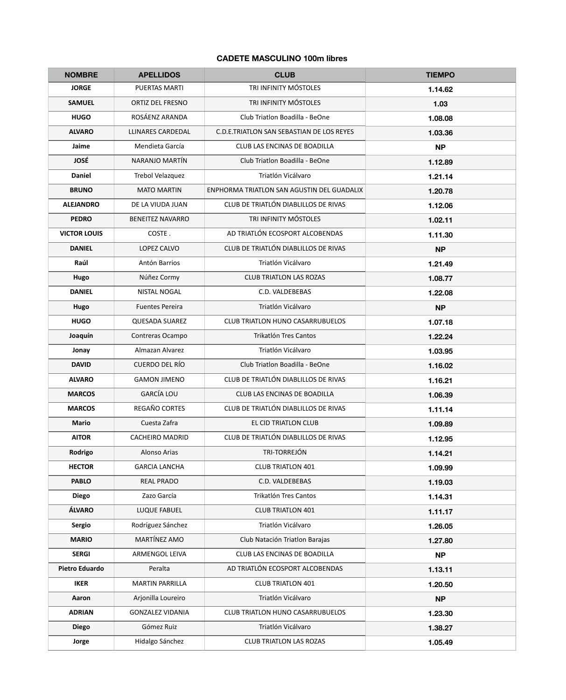# **CADETE MASCULINO 100m libres**

| <b>NOMBRE</b>         | <b>APELLIDOS</b>        | <b>CLUB</b>                                | <b>TIEMPO</b> |
|-----------------------|-------------------------|--------------------------------------------|---------------|
| <b>JORGE</b>          | <b>PUERTAS MARTI</b>    | TRI INFINITY MÓSTOLES                      | 1.14.62       |
| <b>SAMUEL</b>         | <b>ORTIZ DEL FRESNO</b> | TRI INFINITY MÓSTOLES                      | 1.03          |
| <b>HUGO</b>           | ROSÁENZ ARANDA          | Club Triatlon Boadilla - BeOne             | 1.08.08       |
| <b>ALVARO</b>         | LLINARES CARDEDAL       | C.D.E.TRIATLON SAN SEBASTIAN DE LOS REYES  | 1.03.36       |
| Jaime                 | Mendieta García         | <b>CLUB LAS ENCINAS DE BOADILLA</b>        | <b>NP</b>     |
| <b>JOSÉ</b>           | NARANJO MARTÍN          | Club Triatlon Boadilla - BeOne             | 1.12.89       |
| <b>Daniel</b>         | Trebol Velazquez        | Triatlón Vicálvaro                         | 1.21.14       |
| <b>BRUNO</b>          | <b>MATO MARTIN</b>      | ENPHORMA TRIATLON SAN AGUSTIN DEL GUADALIX | 1.20.78       |
| <b>ALEJANDRO</b>      | DE LA VIUDA JUAN        | CLUB DE TRIATLÓN DIABLILLOS DE RIVAS       | 1.12.06       |
| <b>PEDRO</b>          | <b>BENEITEZ NAVARRO</b> | TRI INFINITY MÓSTOLES                      | 1.02.11       |
| <b>VICTOR LOUIS</b>   | COSTE.                  | AD TRIATLÓN ECOSPORT ALCOBENDAS            | 1.11.30       |
| <b>DANIEL</b>         | LOPEZ CALVO             | CLUB DE TRIATLÓN DIABLILLOS DE RIVAS       | <b>NP</b>     |
| Raúl                  | Antón Barrios           | Triatlón Vicálvaro                         | 1.21.49       |
| Hugo                  | Núñez Cormy             | <b>CLUB TRIATLON LAS ROZAS</b>             | 1.08.77       |
| <b>DANIEL</b>         | <b>NISTAL NOGAL</b>     | C.D. VALDEBEBAS                            | 1.22.08       |
| Hugo                  | <b>Fuentes Pereira</b>  | Triatlón Vicálvaro                         | <b>NP</b>     |
| <b>HUGO</b>           | <b>QUESADA SUAREZ</b>   | <b>CLUB TRIATLON HUNO CASARRUBUELOS</b>    | 1.07.18       |
| Joaquín               | Contreras Ocampo        | Trikatlón Tres Cantos                      | 1.22.24       |
| Jonay                 | Almazan Alvarez         | Triatlón Vicálvaro                         | 1.03.95       |
| <b>DAVID</b>          | CUERDO DEL RÍO          | Club Triatlon Boadilla - BeOne             | 1.16.02       |
| <b>ALVARO</b>         | <b>GAMON JIMENO</b>     | CLUB DE TRIATLÓN DIABLILLOS DE RIVAS       | 1.16.21       |
| <b>MARCOS</b>         | <b>GARCÍA LOU</b>       | CLUB LAS ENCINAS DE BOADILLA               | 1.06.39       |
| <b>MARCOS</b>         | REGAÑO CORTES           | CLUB DE TRIATLÓN DIABLILLOS DE RIVAS       | 1.11.14       |
| <b>Mario</b>          | Cuesta Zafra            | EL CID TRIATLON CLUB                       | 1.09.89       |
| <b>AITOR</b>          | <b>CACHEIRO MADRID</b>  | CLUB DE TRIATLÓN DIABLILLOS DE RIVAS       | 1.12.95       |
| Rodrigo               | Alonso Arias            | TRI-TORREJÓN                               | 1.14.21       |
| <b>HECTOR</b>         | <b>GARCIA LANCHA</b>    | <b>CLUB TRIATLON 401</b>                   | 1.09.99       |
| <b>PABLO</b>          | <b>REAL PRADO</b>       | C.D. VALDEBEBAS                            | 1.19.03       |
| <b>Diego</b>          | Zazo García             | Trikatlón Tres Cantos                      | 1.14.31       |
| ÁLVARO                | LUQUE FABUEL            | <b>CLUB TRIATLON 401</b>                   | 1.11.17       |
| <b>Sergio</b>         | Rodríguez Sánchez       | Triatlón Vicálvaro                         | 1.26.05       |
| <b>MARIO</b>          | MARTÍNEZ AMO            | Club Natación Triatlon Barajas             | 1.27.80       |
| <b>SERGI</b>          | ARMENGOL LEIVA          | CLUB LAS ENCINAS DE BOADILLA               | <b>NP</b>     |
| <b>Pietro Eduardo</b> | Peralta                 | AD TRIATLÓN ECOSPORT ALCOBENDAS            | 1.13.11       |
| <b>IKER</b>           | <b>MARTIN PARRILLA</b>  | <b>CLUB TRIATLON 401</b>                   | 1.20.50       |
| Aaron                 | Arjonilla Loureiro      | Triatlón Vicálvaro                         | <b>NP</b>     |
| <b>ADRIAN</b>         | <b>GONZALEZ VIDANIA</b> | <b>CLUB TRIATLON HUNO CASARRUBUELOS</b>    | 1.23.30       |
| <b>Diego</b>          | Gómez Ruiz              | Triatlón Vicálvaro                         | 1.38.27       |
| Jorge                 | Hidalgo Sánchez         | <b>CLUB TRIATLON LAS ROZAS</b>             | 1.05.49       |